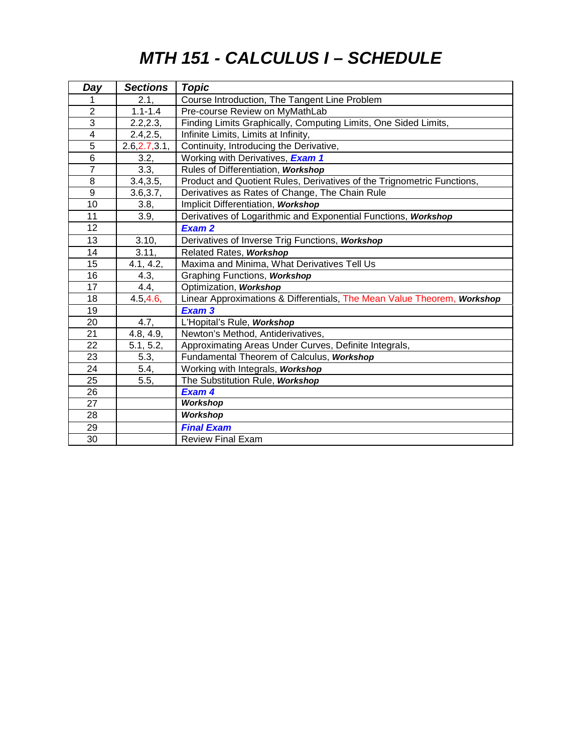# *MTH 151 - CALCULUS I – SCHEDULE*

| Day                     | <b>Sections</b> | <b>Topic</b>                                                            |
|-------------------------|-----------------|-------------------------------------------------------------------------|
|                         | 2.1.            | Course Introduction, The Tangent Line Problem                           |
| $\overline{2}$          | $1.1 - 1.4$     | Pre-course Review on MyMathLab                                          |
| $\overline{3}$          | 2.2, 2.3,       | Finding Limits Graphically, Computing Limits, One Sided Limits,         |
| $\overline{\mathbf{4}}$ | 2.4, 2.5,       | Infinite Limits, Limits at Infinity,                                    |
| 5                       | 2.6, 2.7, 3.1,  | Continuity, Introducing the Derivative,                                 |
| $\overline{6}$          | 3.2,            | Working with Derivatives, Exam 1                                        |
| $\overline{7}$          | 3.3,            | Rules of Differentiation, Workshop                                      |
| 8                       | 3.4, 3.5,       | Product and Quotient Rules, Derivatives of the Trignometric Functions,  |
| 9                       | 3.6, 3.7,       | Derivatives as Rates of Change, The Chain Rule                          |
| 10                      | 3.8,            | Implicit Differentiation, Workshop                                      |
| 11                      | 3.9,            | Derivatives of Logarithmic and Exponential Functions, Workshop          |
| 12                      |                 | Exam 2                                                                  |
| 13                      | 3.10,           | Derivatives of Inverse Trig Functions, Workshop                         |
| 14                      | 3.11,           | Related Rates, Workshop                                                 |
| 15                      | 4.1, 4.2,       | Maxima and Minima, What Derivatives Tell Us                             |
| 16                      | 4.3,            | Graphing Functions, Workshop                                            |
| 17                      | 4.4,            | Optimization, Workshop                                                  |
| 18                      | 4.5, 4.6,       | Linear Approximations & Differentials, The Mean Value Theorem, Workshop |
| 19                      |                 | Exam 3                                                                  |
| 20                      | 4.7,            | L'Hopital's Rule, Workshop                                              |
| 21                      | 4.8, 4.9,       | Newton's Method, Antiderivatives,                                       |
| 22                      | 5.1, 5.2,       | Approximating Areas Under Curves, Definite Integrals,                   |
| 23                      | 5.3,            | Fundamental Theorem of Calculus, Workshop                               |
| 24                      | 5.4,            | Working with Integrals, Workshop                                        |
| 25                      | 5.5,            | The Substitution Rule, Workshop                                         |
| 26                      |                 | Exam 4                                                                  |
| 27                      |                 | <b>Workshop</b>                                                         |
| 28                      |                 | <b>Workshop</b>                                                         |
| 29                      |                 | <b>Final Exam</b>                                                       |
| 30                      |                 | <b>Review Final Exam</b>                                                |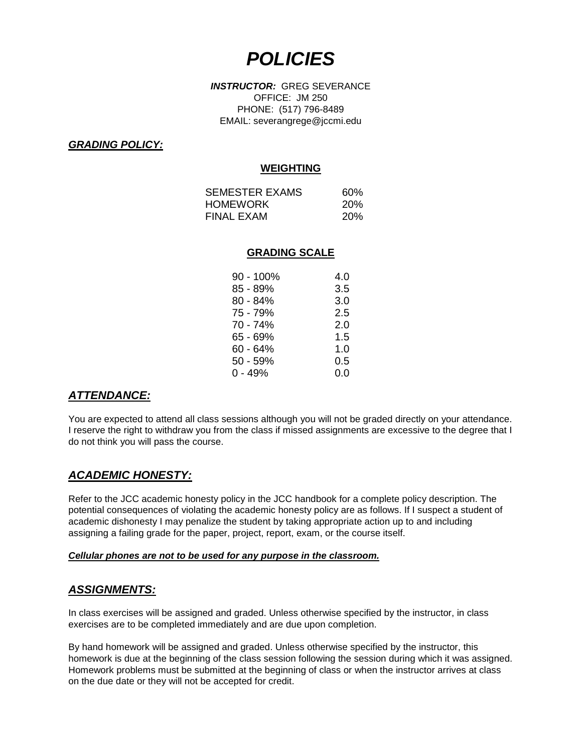# *POLICIES*

*INSTRUCTOR:* GREG SEVERANCE OFFICE: JM 250 PHONE: (517) 796-8489 EMAIL: severangrege@jccmi.edu

#### *GRADING POLICY:*

#### **WEIGHTING**

| SEMESTER EXAMS  | 60%        |
|-----------------|------------|
| <b>HOMEWORK</b> | <b>20%</b> |
| FINAL EXAM      | <b>20%</b> |

#### **GRADING SCALE**

| $90 - 100\%$ | 4.0 |
|--------------|-----|
| 85 - 89%     | 3.5 |
| $80 - 84%$   | 3.0 |
| 75 - 79%     | 2.5 |
| 70 - 74%     | 2.0 |
| 65 - 69%     | 1.5 |
| 60 - 64%     | 1.0 |
| 50 - 59%     | 0.5 |
| $0 - 49%$    | 0.0 |

### *ATTENDANCE:*

You are expected to attend all class sessions although you will not be graded directly on your attendance. I reserve the right to withdraw you from the class if missed assignments are excessive to the degree that I do not think you will pass the course.

### *ACADEMIC HONESTY:*

Refer to the JCC academic honesty policy in the JCC handbook for a complete policy description. The potential consequences of violating the academic honesty policy are as follows. If I suspect a student of academic dishonesty I may penalize the student by taking appropriate action up to and including assigning a failing grade for the paper, project, report, exam, or the course itself.

#### *Cellular phones are not to be used for any purpose in the classroom.*

### *ASSIGNMENTS:*

In class exercises will be assigned and graded. Unless otherwise specified by the instructor, in class exercises are to be completed immediately and are due upon completion.

By hand homework will be assigned and graded. Unless otherwise specified by the instructor, this homework is due at the beginning of the class session following the session during which it was assigned. Homework problems must be submitted at the beginning of class or when the instructor arrives at class on the due date or they will not be accepted for credit.